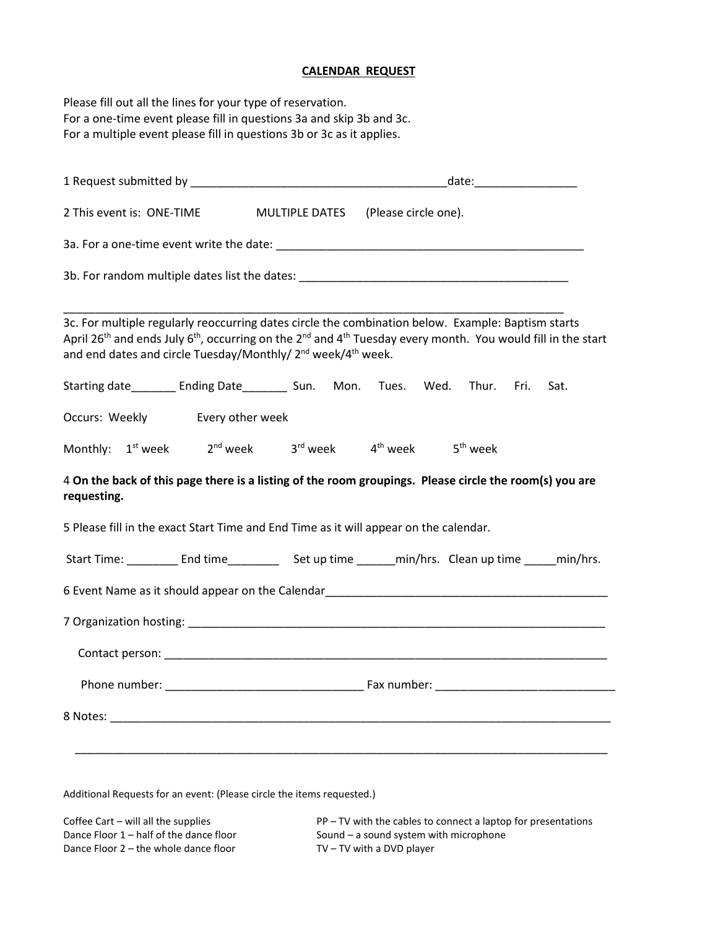## **CALENDAR REQUEST**

Please fill out all the lines for your type of reservation. For a one-time event please fill in questions 3a and skip 3b and 3c. For a multiple event please fill in questions 3b or 3c as it applies. 1 Request submitted by \_\_\_\_\_\_\_\_\_\_\_\_\_\_\_\_\_\_\_\_\_\_\_\_\_\_\_\_\_\_\_\_\_\_\_\_\_\_\_\_date:\_\_\_\_\_\_\_\_\_\_\_\_\_\_\_\_ 2 This event is: ONE-TIME MULTIPLE DATES (Please circle one).

3a. For a one-time event write the date: \_\_\_\_\_\_\_\_\_\_\_\_\_\_\_\_\_\_\_\_\_\_\_\_\_\_\_\_\_\_\_\_\_\_\_\_\_\_\_\_\_\_\_\_\_\_\_\_

3b. For random multiple dates list the dates: \_\_\_\_\_\_\_\_\_\_\_\_\_\_\_\_\_\_\_\_\_\_\_\_\_\_\_\_\_\_\_\_\_\_\_\_\_\_\_\_\_\_

\_\_\_\_\_\_\_\_\_\_\_\_\_\_\_\_\_\_\_\_\_\_\_\_\_\_\_\_\_\_\_\_\_\_\_\_\_\_\_\_\_\_\_\_\_\_\_\_\_\_\_\_\_\_\_\_\_\_\_\_\_\_\_\_\_\_\_\_\_\_\_\_\_\_\_\_\_\_ 3c. For multiple regularly reoccurring dates circle the combination below. Example: Baptism starts April 26<sup>th</sup> and ends July 6<sup>th</sup>, occurring on the 2<sup>nd</sup> and 4<sup>th</sup> Tuesday every month. You would fill in the start and end dates and circle Tuesday/Monthly/ 2<sup>nd</sup> week/4<sup>th</sup> week.

Starting date\_\_\_\_\_\_\_ Ending Date\_\_\_\_\_\_\_\_ Sun. Mon. Tues. Wed. Thur. Fri. Sat.

Occurs: Weekly Every other week

Monthly:  $1^{st}$  week  $2^{nd}$  week  $3^{rd}$  week  $4^{th}$  week  $5^{th}$  week

## 4 **On the back of this page there is a listing of the room groupings. Please circle the room(s) you are requesting.**

5 Please fill in the exact Start Time and End Time as it will appear on the calendar.

| <b>Start Time:</b> | End time | Set up time | min/hrs. Clean up time | min/hrs. |
|--------------------|----------|-------------|------------------------|----------|
|                    |          |             |                        |          |

6 Event Name as it should appear on the Calendar\_\_\_\_\_\_\_\_\_\_\_\_\_\_\_\_\_\_\_\_\_\_\_\_\_\_\_\_\_\_\_\_

Additional Requests for an event: (Please circle the items requested.)

Dance Floor  $2$  – the whole dance floor  $TV - TV$  with a DVD player

Coffee Cart – will all the supplies  $PP - TV$  with the cables to connect a laptop for presentations Dance Floor 1 – half of the dance floor Sound – a sound system with microphone